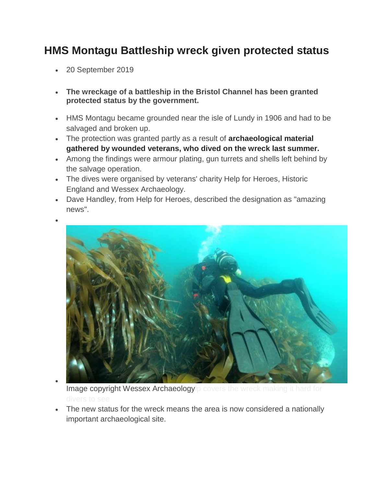## **HMS Montagu Battleship wreck given protected status**

- 20 September 2019
- **The wreckage of a battleship in the Bristol Channel has been granted protected status by the government.**
- HMS Montagu became grounded near the isle of Lundy in 1906 and had to be salvaged and broken up.
- The protection was granted partly as a result of **[archaeological material](https://www.bbc.co.uk/news/uk-england-devon-44741292)  [gathered by wounded veterans, who dived on the wreck last summer.](https://www.bbc.co.uk/news/uk-england-devon-44741292)**
- Among the findings were armour plating, gun turrets and shells left behind by the salvage operation.
- The dives were organised by veterans' charity Help for Heroes, Historic England and Wessex Archaeology.
- Dave Handley, from Help for Heroes, described the designation as "amazing news".



 $\bullet$ 



Image copyright Wessex Archaeologylp covers the wreck making it hard for

 The new status for the wreck means the area is now considered a nationally important archaeological site.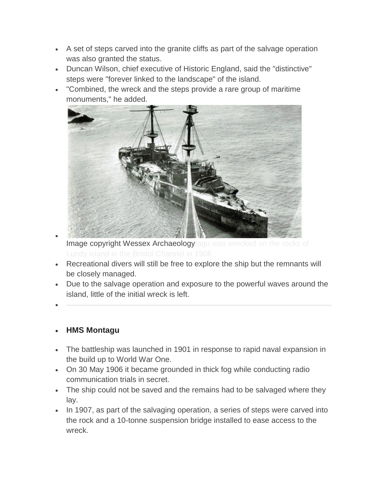- A set of steps carved into the granite cliffs as part of the salvage operation was also granted the status.
- Duncan Wilson, chief executive of Historic England, said the "distinctive" steps were "forever linked to the landscape" of the island.
- "Combined, the wreck and the steps provide a rare group of maritime monuments," he added.



- $\bullet$ Image copyright Wessex Archaeologytagu was wrecked on the rocks of
- Recreational divers will still be free to explore the ship but the remnants will be closely managed.
- Due to the salvage operation and exposure to the powerful waves around the island, little of the initial wreck is left.
- $\bullet$

## **HMS Montagu**

- The battleship was launched in 1901 in response to rapid naval expansion in the build up to World War One.
- On 30 May 1906 it became grounded in thick fog while conducting radio communication trials in secret.
- The ship could not be saved and the remains had to be salvaged where they lay.
- In 1907, as part of the salvaging operation, a series of steps were carved into the rock and a 10-tonne suspension bridge installed to ease access to the wreck.